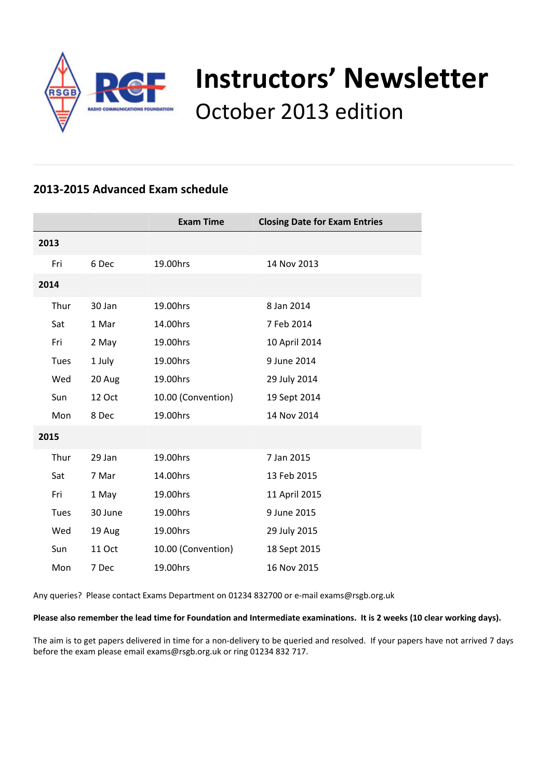

# **Instructors' Newsletter** October 2013 edition

# **2013‐2015 Advanced Exam schedule**

|             |               | <b>Exam Time</b>   | <b>Closing Date for Exam Entries</b> |  |
|-------------|---------------|--------------------|--------------------------------------|--|
| 2013        |               |                    |                                      |  |
| Fri         | 6 Dec         | 19.00hrs           | 14 Nov 2013                          |  |
| 2014        |               |                    |                                      |  |
| Thur        | 30 Jan        | 19.00hrs           | 8 Jan 2014                           |  |
| Sat         | 1 Mar         | 14.00hrs           | 7 Feb 2014                           |  |
| Fri         | 2 May         | 19.00hrs           | 10 April 2014                        |  |
| <b>Tues</b> | 1 July        | 19.00hrs           | 9 June 2014                          |  |
| Wed         | 20 Aug        | 19.00hrs           | 29 July 2014                         |  |
| Sun         | <b>12 Oct</b> | 10.00 (Convention) | 19 Sept 2014                         |  |
| Mon         | 8 Dec         | 19.00hrs           | 14 Nov 2014                          |  |
| 2015        |               |                    |                                      |  |
| Thur        | 29 Jan        | 19.00hrs           | 7 Jan 2015                           |  |
| Sat         | 7 Mar         | 14.00hrs           | 13 Feb 2015                          |  |
| Fri         | 1 May         | 19.00hrs           | 11 April 2015                        |  |
| <b>Tues</b> | 30 June       | 19.00hrs           | 9 June 2015                          |  |
| Wed         | 19 Aug        | 19.00hrs           | 29 July 2015                         |  |
| Sun         | <b>11 Oct</b> | 10.00 (Convention) | 18 Sept 2015                         |  |
| Mon         | 7 Dec         | 19.00hrs           | 16 Nov 2015                          |  |

Any queries? Please contact Exams Department on 01234 832700 or e‐mail exams@rsgb.org.uk

#### Please also remember the lead time for Foundation and Intermediate examinations. It is 2 weeks (10 clear working days).

The aim is to get papers delivered in time for a non-delivery to be queried and resolved. If your papers have not arrived 7 days before the exam please email exams@rsgb.org.uk or ring 01234 832 717.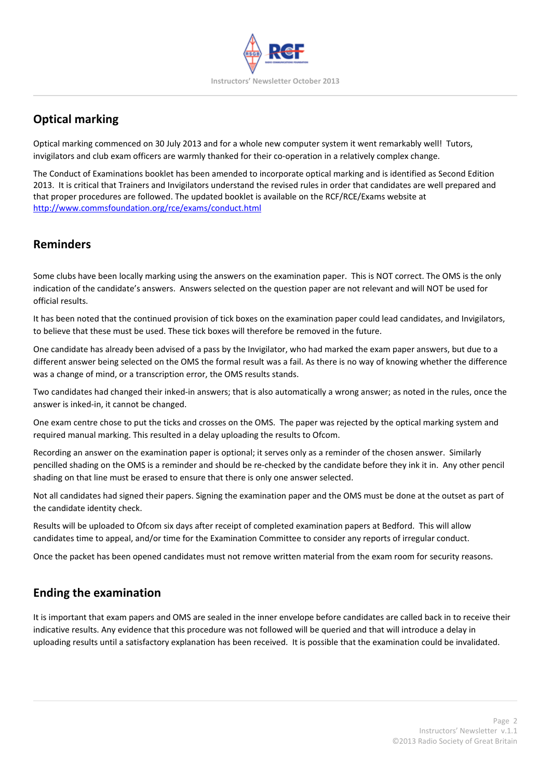

# **Optical marking**

Optical marking commenced on 30 July 2013 and for a whole new computer system it went remarkably well! Tutors, invigilators and club exam officers are warmly thanked for their co-operation in a relatively complex change.

The Conduct of Examinations booklet has been amended to incorporate optical marking and is identified as Second Edition 2013. It is critical that Trainers and Invigilators understand the revised rules in order that candidates are well prepared and that proper procedures are followed. The updated booklet is available on the RCF/RCE/Exams website at http://www.commsfoundation.org/rce/exams/conduct.html

# **Reminders**

Some clubs have been locally marking using the answers on the examination paper. This is NOT correct. The OMS is the only indication of the candidate's answers. Answers selected on the question paper are not relevant and will NOT be used for official results.

It has been noted that the continued provision of tick boxes on the examination paper could lead candidates, and Invigilators, to believe that these must be used. These tick boxes will therefore be removed in the future.

One candidate has already been advised of a pass by the Invigilator, who had marked the exam paper answers, but due to a different answer being selected on the OMS the formal result was a fail. As there is no way of knowing whether the difference was a change of mind, or a transcription error, the OMS results stands.

Two candidates had changed their inked-in answers; that is also automatically a wrong answer; as noted in the rules, once the answer is inked‐in, it cannot be changed.

One exam centre chose to put the ticks and crosses on the OMS. The paper was rejected by the optical marking system and required manual marking. This resulted in a delay uploading the results to Ofcom.

Recording an answer on the examination paper is optional; it serves only as a reminder of the chosen answer. Similarly pencilled shading on the OMS is a reminder and should be re‐checked by the candidate before they ink it in. Any other pencil shading on that line must be erased to ensure that there is only one answer selected.

Not all candidates had signed their papers. Signing the examination paper and the OMS must be done at the outset as part of the candidate identity check.

Results will be uploaded to Ofcom six days after receipt of completed examination papers at Bedford. This will allow candidates time to appeal, and/or time for the Examination Committee to consider any reports of irregular conduct.

Once the packet has been opened candidates must not remove written material from the exam room for security reasons.

# **Ending the examination**

It is important that exam papers and OMS are sealed in the inner envelope before candidates are called back in to receive their indicative results. Any evidence that this procedure was not followed will be queried and that will introduce a delay in uploading results until a satisfactory explanation has been received. It is possible that the examination could be invalidated.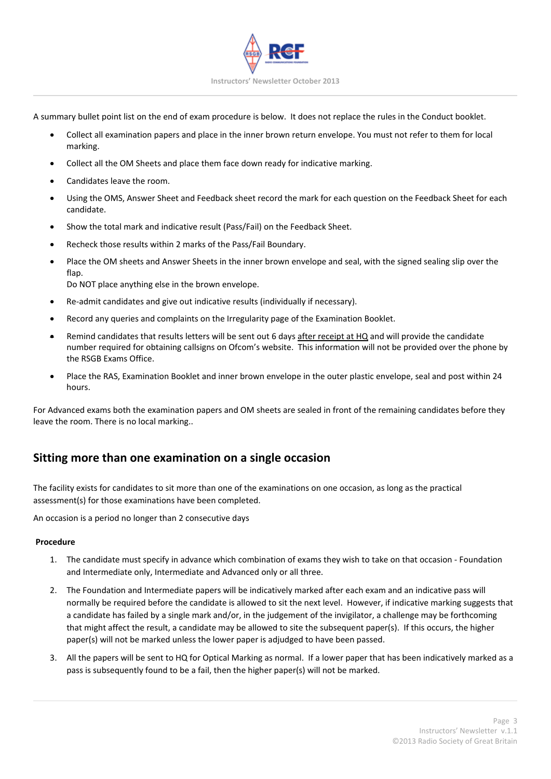

A summary bullet point list on the end of exam procedure is below. It does not replace the rules in the Conduct booklet.

- Collect all examination papers and place in the inner brown return envelope. You must not refer to them for local marking.
- Collect all the OM Sheets and place them face down ready for indicative marking.
- Candidates leave the room.
- Using the OMS, Answer Sheet and Feedback sheet record the mark for each question on the Feedback Sheet for each candidate.
- Show the total mark and indicative result (Pass/Fail) on the Feedback Sheet.
- Recheck those results within 2 marks of the Pass/Fail Boundary.
- Place the OM sheets and Answer Sheets in the inner brown envelope and seal, with the signed sealing slip over the flap. Do NOT place anything else in the brown envelope.
- Re‐admit candidates and give out indicative results (individually if necessary).
- 
- Record any queries and complaints on the Irregularity page of the Examination Booklet. Remind candidates that results letters will be sent out 6 days after receipt at HQ and will provide the candidate
- number required for obtaining callsigns on Ofcom's website. This information will not be provided over the phone by the RSGB Exams Office.
- Place the RAS, Examination Booklet and inner brown envelope in the outer plastic envelope, seal and post within 24 hours.

For Advanced exams both the examination papers and OM sheets are sealed in front of the remaining candidates before they leave the room. There is no local marking..

## **Sitting more than one examination on a single occasion**

The facility exists for candidates to sit more than one of the examinations on one occasion, as long as the practical assessment(s) for those examinations have been completed.

An occasion is a period no longer than 2 consecutive days

#### **Procedure**

- 1. The candidate must specify in advance which combination of exams they wish to take on that occasion ‐ Foundation and Intermediate only, Intermediate and Advanced only or all three.
- 2. The Foundation and Intermediate papers will be indicatively marked after each exam and an indicative pass will normally be required before the candidate is allowed to sit the next level. However, if indicative marking suggests that a candidate has failed by a single mark and/or, in the judgement of the invigilator, a challenge may be forthcoming that might affect the result, a candidate may be allowed to site the subsequent paper(s). If this occurs, the higher paper(s) will not be marked unless the lower paper is adjudged to have been passed.
- 3. All the papers will be sent to HQ for Optical Marking as normal. If a lower paper that has been indicatively marked as a pass is subsequently found to be a fail, then the higher paper(s) will not be marked.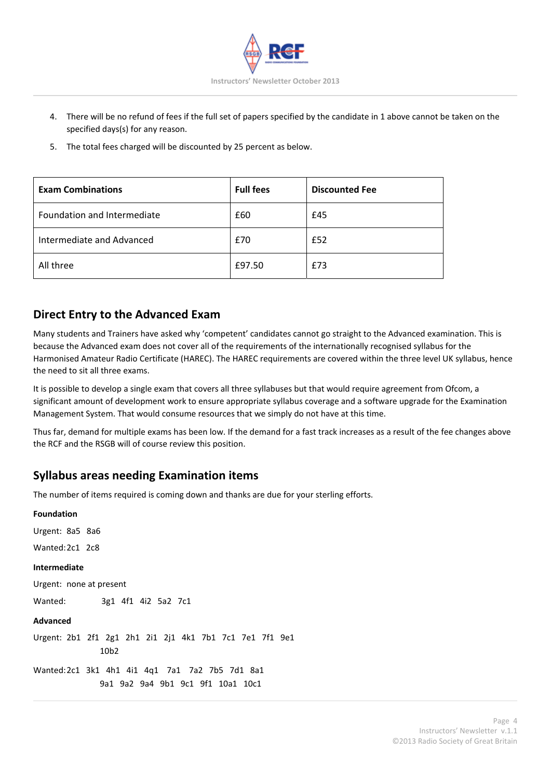

- 4. There will be no refund of fees if the full set of papers specified by the candidate in 1 above cannot be taken on the specified days(s) for any reason.
- 5. The total fees charged will be discounted by 25 percent as below.

| <b>Exam Combinations</b>    | <b>Full fees</b> | <b>Discounted Fee</b> |
|-----------------------------|------------------|-----------------------|
| Foundation and Intermediate | £60              | £45                   |
| Intermediate and Advanced   | £70              | £52                   |
| All three                   | £97.50           | £73                   |

#### **Direct Entry to the Advanced Exam**

Many students and Trainers have asked why 'competent' candidates cannot go straight to the Advanced examination. This is because the Advanced exam does not cover all of the requirements of the internationally recognised syllabus for the Harmonised Amateur Radio Certificate (HAREC). The HAREC requirements are covered within the three level UK syllabus, hence the need to sit all three exams.

It is possible to develop a single exam that covers all three syllabuses but that would require agreement from Ofcom, a significant amount of development work to ensure appropriate syllabus coverage and a software upgrade for the Examination Management System. That would consume resources that we simply do not have at this time.

Thus far, demand for multiple exams has been low. If the demand for a fast track increases as a result of the fee changes above the RCF and the RSGB will of course review this position.

#### **Syllabus areas needing Examination items**

The number of items required is coming down and thanks are due for your sterling efforts.

| <b>Foundation</b>                                                                   |
|-------------------------------------------------------------------------------------|
| Urgent: 8a5 8a6                                                                     |
| Wanted:2c1 2c8                                                                      |
| <b>Intermediate</b>                                                                 |
| Urgent: none at present                                                             |
| Wanted:<br>3g1 4f1 4i2 5a2 7c1                                                      |
| Advanced                                                                            |
| Urgent: 2b1 2f1 2g1 2h1 2i1 2j1 4k1 7b1 7c1 7e1 7f1 9e1<br>10 <sub>b2</sub>         |
| Wanted:2c1 3k1 4h1 4i1 4q1 7a1 7a2 7b5 7d1 8a1<br>9a1 9a2 9a4 9b1 9c1 9f1 10a1 10c1 |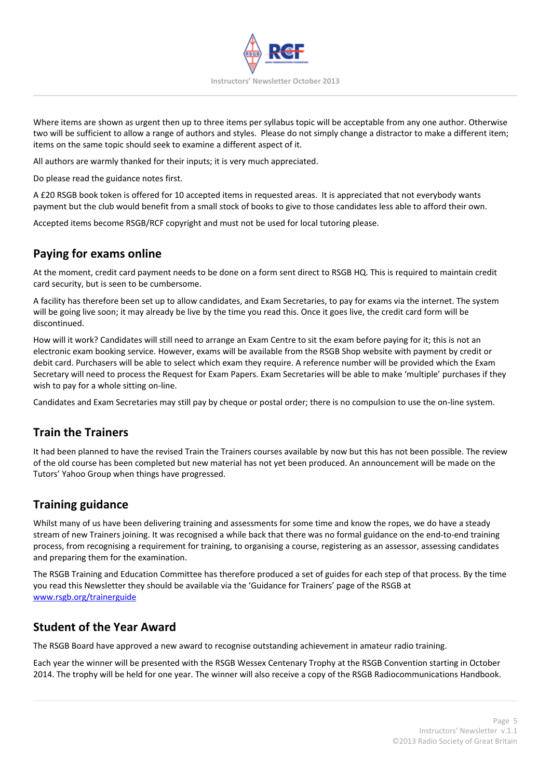

Where items are shown as urgent then up to three items per syllabus topic will be acceptable from any one author. Otherwise two will be sufficient to allow a range of authors and styles. Please do not simply change a distractor to make a different item; items on the same topic should seek to examine a different aspect of it.

All authors are warmly thanked for their inputs; it is very much appreciated.

Do please read the guidance notes first.

A £20 RSGB book token is offered for 10 accepted items in requested areas. It is appreciated that not everybody wants payment but the club would benefit from a small stock of books to give to those candidates less able to afford their own.

Accepted items become RSGB/RCF copyright and must not be used for local tutoring please.

## **Paying for exams online**

At the moment, credit card payment needs to be done on a form sent direct to RSGB HQ. This is required to maintain credit card security, but is seen to be cumbersome.

A facility has therefore been set up to allow candidates, and Exam Secretaries, to pay for exams via the internet. The system will be going live soon; it may already be live by the time you read this. Once it goes live, the credit card form will be discontinued.

How will it work? Candidates will still need to arrange an Exam Centre to sit the exam before paying for it; this is not an electronic exam booking service. However, exams will be available from the RSGB Shop website with payment by credit or debit card. Purchasers will be able to select which exam they require. A reference number will be provided which the Exam Secretary will need to process the Request for Exam Papers. Exam Secretaries will be able to make 'multiple' purchases if they wish to pay for a whole sitting on-line.

Candidates and Exam Secretaries may still pay by cheque or postal order; there is no compulsion to use the on‐line system.

## **Train the Trainers**

It had been planned to have the revised Train the Trainers courses available by now but this has not been possible. The review of the old course has been completed but new material has not yet been produced. An announcement will be made on the Tutors' Yahoo Group when things have progressed.

## **Training guidance**

Whilst many of us have been delivering training and assessments for some time and know the ropes, we do have a steady stream of new Trainers joining. It was recognised a while back that there was no formal guidance on the end-to-end training process, from recognising a requirement for training, to organising a course, registering as an assessor, assessing candidates and preparing them for the examination.

The RSGB Training and Education Committee has therefore produced a set of guides for each step of that process. By the time you read this Newsletter they should be available via the 'Guidance for Trainers' page of the RSGB at www.rsgb.org/trainerguide

## **Student of the Year Award**

The RSGB Board have approved a new award to recognise outstanding achievement in amateur radio training.

Each year the winner will be presented with the RSGB Wessex Centenary Trophy at the RSGB Convention starting in October 2014. The trophy will be held for one year. The winner will also receive a copy of the RSGB Radiocommunications Handbook.